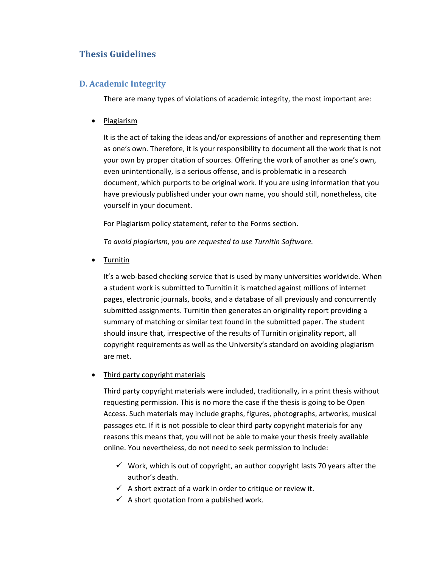# **Thesis Guidelines**

## **D. Academic Integrity**

There are many types of violations of academic integrity, the most important are:

• Plagiarism

It is the act of taking the ideas and/or expressions of another and representing them as one's own. Therefore, it is your responsibility to document all the work that is not your own by proper citation of sources. Offering the work of another as one's own, even unintentionally, is a serious offense, and is problematic in a research document, which purports to be original work. If you are using information that you have previously published under your own name, you should still, nonetheless, cite yourself in your document.

For Plagiarism policy statement, refer to the Forms section.

*To avoid plagiarism, you are requested to use Turnitin Software.* 

Turnitin

It's a web-based checking service that is used by many universities worldwide. When a student work is submitted to Turnitin it is matched against millions of internet pages, electronic journals, books, and a database of all previously and concurrently submitted assignments. Turnitin then generates an originality report providing a summary of matching or similar text found in the submitted paper. The student should insure that, irrespective of the results of Turnitin originality report, all copyright requirements as well as the University's standard on avoiding plagiarism are met.

## Third party copyright materials

Third party copyright materials were included, traditionally, in a print thesis without requesting permission. This is no more the case if the thesis is going to be Open Access. Such materials may include graphs, figures, photographs, artworks, musical passages etc. If it is not possible to clear third party copyright materials for any reasons this means that, you will not be able to make your thesis freely available online. You nevertheless, do not need to seek permission to include:

- $\checkmark$  Work, which is out of copyright, an author copyright lasts 70 years after the author's death.
- $\checkmark$  A short extract of a work in order to critique or review it.
- $\checkmark$  A short quotation from a published work.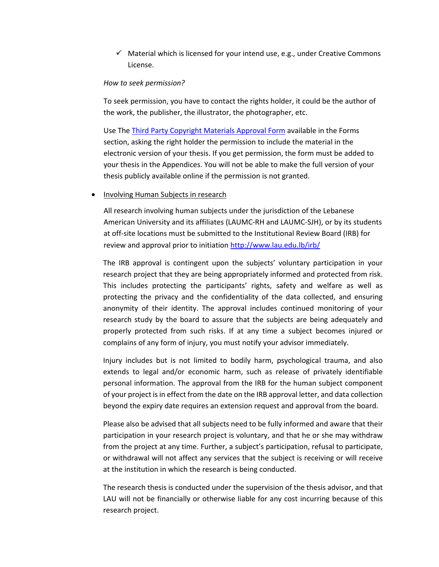$\checkmark$  Material which is licensed for your intend use, e.g., under Creative Commons License.

#### *How to seek permission?*

To seek permission, you have to contact the rights holder, it could be the author of the work, the publisher, the illustrator, the photographer, etc.

Use The Third Party Copyright Materials Approval Form available in the Forms section, asking the right holder the permission to include the material in the electronic version of your thesis. If you get permission, the form must be added to your thesis in the Appendices. You will not be able to make the full version of your thesis publicly available online if the permission is not granted.

### Involving Human Subjects in research

All research involving human subjects under the jurisdiction of the Lebanese American University and its affiliates (LAUMC‐RH and LAUMC‐SJH), or by its students at off‐site locations must be submitted to the Institutional Review Board (IRB) for review and approval prior to initiation http://www.lau.edu.lb/irb/

The IRB approval is contingent upon the subjects' voluntary participation in your research project that they are being appropriately informed and protected from risk. This includes protecting the participants' rights, safety and welfare as well as protecting the privacy and the confidentiality of the data collected, and ensuring anonymity of their identity. The approval includes continued monitoring of your research study by the board to assure that the subjects are being adequately and properly protected from such risks. If at any time a subject becomes injured or complains of any form of injury, you must notify your advisor immediately.

Injury includes but is not limited to bodily harm, psychological trauma, and also extends to legal and/or economic harm, such as release of privately identifiable personal information. The approval from the IRB for the human subject component of your project is in effect from the date on the IRB approval letter, and data collection beyond the expiry date requires an extension request and approval from the board.

Please also be advised that all subjects need to be fully informed and aware that their participation in your research project is voluntary, and that he or she may withdraw from the project at any time. Further, a subject's participation, refusal to participate, or withdrawal will not affect any services that the subject is receiving or will receive at the institution in which the research is being conducted.

The research thesis is conducted under the supervision of the thesis advisor, and that LAU will not be financially or otherwise liable for any cost incurring because of this research project.